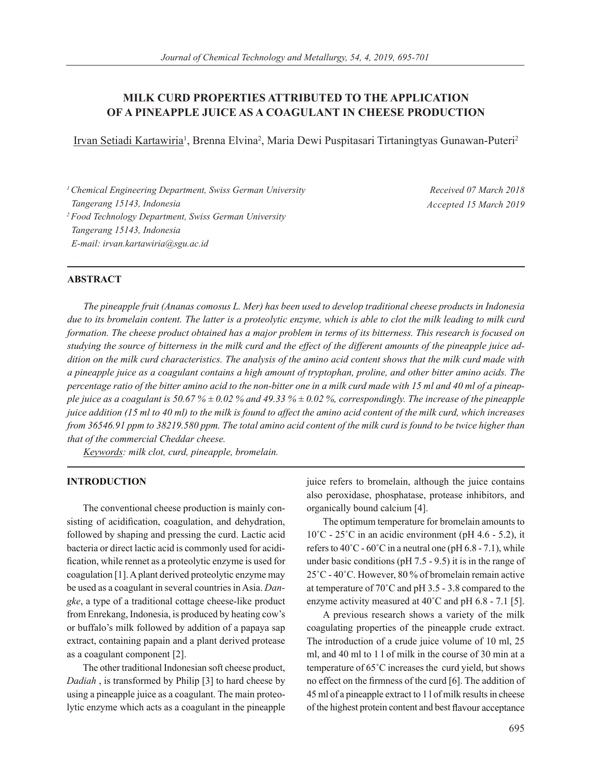# **MILK CURD PROPERTIES ATTRIBUTED TO THE APPLICATION OF A PINEAPPLE JUICE AS A COAGULANT IN CHEESE PRODUCTION**

<u>Irvan Setiadi Kartawiria</u>', Brenna Elvina<sup>2</sup>, Maria Dewi Puspitasari Tirtaningtyas Gunawan-Puteri<sup>2</sup>

*1 Chemical Engineering Department, Swiss German University Tangerang 15143, Indonesia 2 Food Technology Department, Swiss German University Tangerang 15143, Indonesia E-mail: irvan.kartawiria@sgu.ac.id*

*Received 07 March 2018 Accepted 15 March 2019*

## **ABSTRACT**

*The pineapple fruit (Ananas comosus L. Mer) has been used to develop traditional cheese products in Indonesia due to its bromelain content. The latter is a proteolytic enzyme, which is able to clot the milk leading to milk curd formation. The cheese product obtained has a major problem in terms of its bitterness. This research is focused on studying the source of bitterness in the milk curd and the effect of the different amounts of the pineapple juice addition on the milk curd characteristics. The analysis of the amino acid content shows that the milk curd made with a pineapple juice as a coagulant contains a high amount of tryptophan, proline, and other bitter amino acids. The percentage ratio of the bitter amino acid to the non-bitter one in a milk curd made with 15 ml and 40 ml of a pineapple juice as a coagulant is 50.67 %*  $\pm$  *0.02 % and 49.33 %*  $\pm$  *0.02 %, correspondingly. The increase of the pineapple juice addition (15 ml to 40 ml) to the milk is found to affect the amino acid content of the milk curd, which increases from 36546.91 ppm to 38219.580 ppm. The total amino acid content of the milk curd is found to be twice higher than that of the commercial Cheddar cheese.*

*Keywords: milk clot, curd, pineapple, bromelain.*

### **INTRODUCTION**

The conventional cheese production is mainly consisting of acidification, coagulation, and dehydration, followed by shaping and pressing the curd. Lactic acid bacteria or direct lactic acid is commonly used for acidification, while rennet as a proteolytic enzyme is used for coagulation [1]. A plant derived proteolytic enzyme may be used as a coagulant in several countries in Asia. *Dangke*, a type of a traditional cottage cheese-like product from Enrekang, Indonesia, is produced by heating cow's or buffalo's milk followed by addition of a papaya sap extract, containing papain and a plant derived protease as a coagulant component [2].

The other traditional Indonesian soft cheese product, *Dadiah* , is transformed by Philip [3] to hard cheese by using a pineapple juice as a coagulant. The main proteolytic enzyme which acts as a coagulant in the pineapple juice refers to bromelain, although the juice contains also peroxidase, phosphatase, protease inhibitors, and organically bound calcium [4].

The optimum temperature for bromelain amounts to  $10^{\circ}$ C - 25<sup> $\circ$ </sup>C in an acidic environment (pH 4.6 - 5.2), it refers to  $40^{\circ}$ C -  $60^{\circ}$ C in a neutral one (pH 6.8 - 7.1), while under basic conditions (pH 7.5 - 9.5) it is in the range of 25˚C - 40˚C. However, 80 % of bromelain remain active at temperature of 70˚C and pH 3.5 - 3.8 compared to the enzyme activity measured at 40˚C and pH 6.8 - 7.1 [5].

A previous research shows a variety of the milk coagulating properties of the pineapple crude extract. The introduction of a crude juice volume of 10 ml, 25 ml, and 40 ml to 1 l of milk in the course of 30 min at a temperature of 65˚C increases the curd yield, but shows no effect on the firmness of the curd [6]. The addition of 45 ml of a pineapple extract to 1 l of milk results in cheese of the highest protein content and best flavour acceptance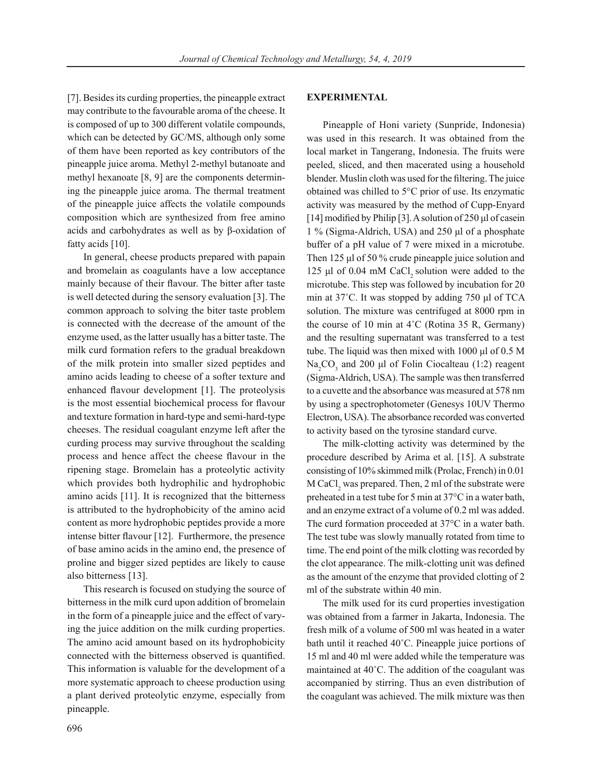[7]. Besides its curding properties, the pineapple extract may contribute to the favourable aroma of the cheese. It is composed of up to 300 different volatile compounds, which can be detected by GC/MS, although only some of them have been reported as key contributors of the pineapple juice aroma. Methyl 2-methyl butanoate and methyl hexanoate [8, 9] are the components determining the pineapple juice aroma. The thermal treatment of the pineapple juice affects the volatile compounds composition which are synthesized from free amino acids and carbohydrates as well as by β-oxidation of fatty acids [10].

In general, cheese products prepared with papain and bromelain as coagulants have a low acceptance mainly because of their flavour. The bitter after taste is well detected during the sensory evaluation [3]. The common approach to solving the biter taste problem is connected with the decrease of the amount of the enzyme used, as the latter usually has a bitter taste. The milk curd formation refers to the gradual breakdown of the milk protein into smaller sized peptides and amino acids leading to cheese of a softer texture and enhanced flavour development [1]. The proteolysis is the most essential biochemical process for flavour and texture formation in hard-type and semi-hard-type cheeses. The residual coagulant enzyme left after the curding process may survive throughout the scalding process and hence affect the cheese flavour in the ripening stage. Bromelain has a proteolytic activity which provides both hydrophilic and hydrophobic amino acids [11]. It is recognized that the bitterness is attributed to the hydrophobicity of the amino acid content as more hydrophobic peptides provide a more intense bitter flavour [12]. Furthermore, the presence of base amino acids in the amino end, the presence of proline and bigger sized peptides are likely to cause also bitterness [13].

This research is focused on studying the source of bitterness in the milk curd upon addition of bromelain in the form of a pineapple juice and the effect of varying the juice addition on the milk curding properties. The amino acid amount based on its hydrophobicity connected with the bitterness observed is quantified. This information is valuable for the development of a more systematic approach to cheese production using a plant derived proteolytic enzyme, especially from pineapple.

### **EXPERIMENTAL**

Pineapple of Honi variety (Sunpride, Indonesia) was used in this research. It was obtained from the local market in Tangerang, Indonesia. The fruits were peeled, sliced, and then macerated using a household blender. Muslin cloth was used for the filtering. The juice obtained was chilled to 5°C prior of use. Its enzymatic activity was measured by the method of Cupp-Enyard [14] modified by Philip [3]. A solution of 250 μl of casein 1 % (Sigma-Aldrich, USA) and 250 μl of a phosphate buffer of a pH value of 7 were mixed in a microtube. Then 125 μl of 50 % crude pineapple juice solution and  $125$  μl of 0.04 mM CaCl, solution were added to the microtube. This step was followed by incubation for 20 min at 37˚C. It was stopped by adding 750 μl of TCA solution. The mixture was centrifuged at 8000 rpm in the course of 10 min at 4˚C (Rotina 35 R, Germany) and the resulting supernatant was transferred to a test tube. The liquid was then mixed with 1000 μl of 0.5 M Na<sub>2</sub>CO<sub>3</sub> and 200 µl of Folin Ciocalteau (1:2) reagent (Sigma-Aldrich, USA). The sample was then transferred to a cuvette and the absorbance was measured at 578 nm by using a spectrophotometer (Genesys 10UV Thermo Electron, USA). The absorbance recorded was converted to activity based on the tyrosine standard curve.

The milk-clotting activity was determined by the procedure described by Arima et al. [15]. A substrate consisting of 10% skimmed milk (Prolac, French) in 0.01  $M$  CaCl<sub>2</sub> was prepared. Then, 2 ml of the substrate were preheated in a test tube for 5 min at 37°C in a water bath, and an enzyme extract of a volume of 0.2 ml was added. The curd formation proceeded at 37°C in a water bath. The test tube was slowly manually rotated from time to time. The end point of the milk clotting was recorded by the clot appearance. The milk-clotting unit was defined as the amount of the enzyme that provided clotting of 2 ml of the substrate within 40 min.

The milk used for its curd properties investigation was obtained from a farmer in Jakarta, Indonesia. The fresh milk of a volume of 500 ml was heated in a water bath until it reached 40˚C. Pineapple juice portions of 15 ml and 40 ml were added while the temperature was maintained at 40˚C. The addition of the coagulant was accompanied by stirring. Thus an even distribution of the coagulant was achieved. The milk mixture was then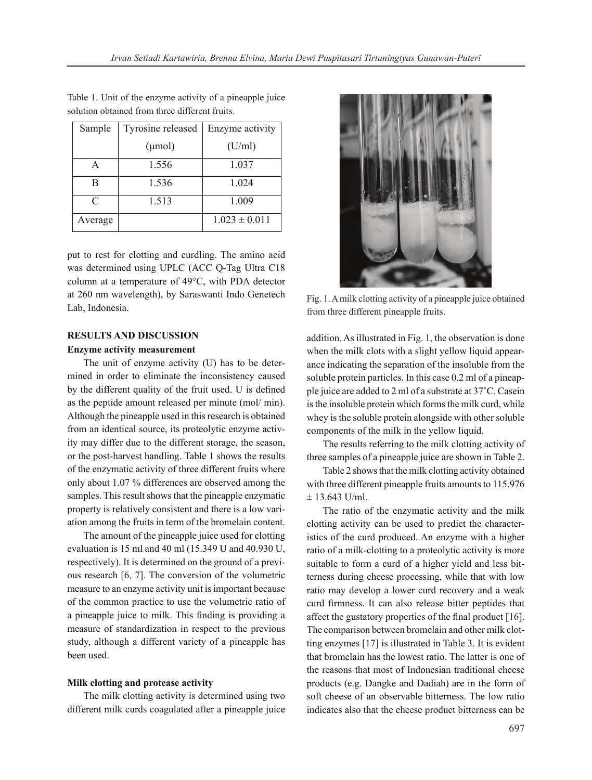| Sample  | Tyrosine released | Enzyme activity   |  |
|---------|-------------------|-------------------|--|
|         | $(\mu mol)$       | (U/ml)            |  |
|         | 1.556             | 1.037             |  |
| в       | 1.536             | 1.024             |  |
| C       | 1.513             | 1.009             |  |
| Average |                   | $1.023 \pm 0.011$ |  |

Table 1. Unit of the enzyme activity of a pineapple juice solution obtained from three different fruits.

put to rest for clotting and curdling. The amino acid was determined using UPLC (ACC Q-Tag Ultra C18 column at a temperature of 49°C, with PDA detector at 260 nm wavelength), by Saraswanti Indo Genetech Lab, Indonesia.

### **RESULTS AND DISCUSSION**

#### **Enzyme activity measurement**

The unit of enzyme activity (U) has to be determined in order to eliminate the inconsistency caused by the different quality of the fruit used. U is defined as the peptide amount released per minute (mol/ min). Although the pineapple used in this research is obtained from an identical source, its proteolytic enzyme activity may differ due to the different storage, the season, or the post-harvest handling. Table 1 shows the results of the enzymatic activity of three different fruits where only about 1.07 % differences are observed among the samples. This result shows that the pineapple enzymatic property is relatively consistent and there is a low variation among the fruits in term of the bromelain content.

The amount of the pineapple juice used for clotting evaluation is 15 ml and 40 ml (15.349 U and 40.930 U, respectively). It is determined on the ground of a previous research [6, 7]. The conversion of the volumetric measure to an enzyme activity unit is important because of the common practice to use the volumetric ratio of a pineapple juice to milk. This finding is providing a measure of standardization in respect to the previous study, although a different variety of a pineapple has been used.

#### **Milk clotting and protease activity**

The milk clotting activity is determined using two different milk curds coagulated after a pineapple juice



Fig. 1. A milk clotting activity of a pineapple juice obtained from three different pineapple fruits.

addition. As illustrated in Fig. 1, the observation is done when the milk clots with a slight yellow liquid appearance indicating the separation of the insoluble from the soluble protein particles. In this case 0.2 ml of a pineapple juice are added to 2 ml of a substrate at 37˚C. Casein is the insoluble protein which forms the milk curd, while whey is the soluble protein alongside with other soluble components of the milk in the yellow liquid.

The results referring to the milk clotting activity of three samples of a pineapple juice are shown in Table 2.

Table 2 shows that the milk clotting activity obtained with three different pineapple fruits amounts to 115.976  $± 13.643$  U/ml.

The ratio of the enzymatic activity and the milk clotting activity can be used to predict the characteristics of the curd produced. An enzyme with a higher ratio of a milk-clotting to a proteolytic activity is more suitable to form a curd of a higher yield and less bitterness during cheese processing, while that with low ratio may develop a lower curd recovery and a weak curd firmness. It can also release bitter peptides that affect the gustatory properties of the final product [16]. The comparison between bromelain and other milk clotting enzymes [17] is illustrated in Table 3. It is evident that bromelain has the lowest ratio. The latter is one of the reasons that most of Indonesian traditional cheese products (e.g. Dangke and Dadiah) are in the form of soft cheese of an observable bitterness. The low ratio indicates also that the cheese product bitterness can be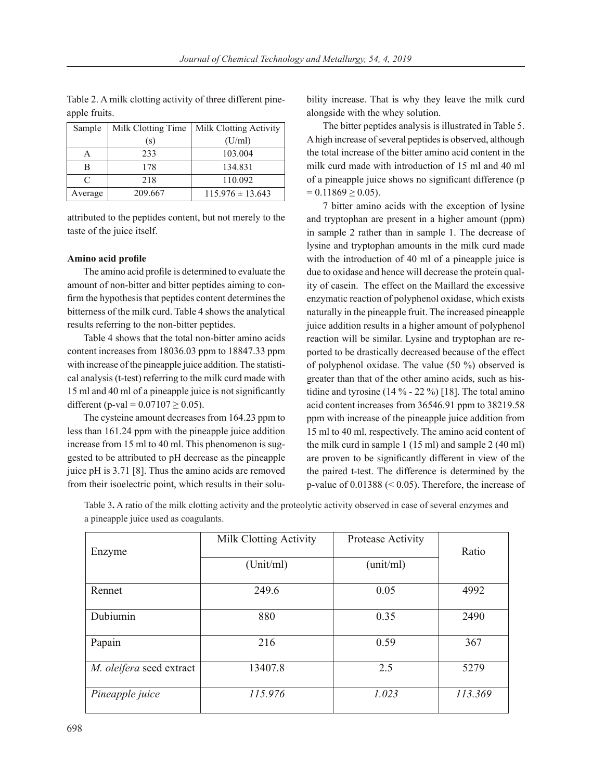Table 2. A milk clotting activity of three different pineapple fruits.

| Sample    | Milk Clotting Time | Milk Clotting Activity |
|-----------|--------------------|------------------------|
|           | (s)                | (U/ml)                 |
|           | 233                | 103.004                |
| в         | 178                | 134.831                |
| $\subset$ | 218                | 110.092                |
| Average   | 209.667            | $115.976 \pm 13.643$   |

attributed to the peptides content, but not merely to the taste of the juice itself.

### **Amino acid profile**

The amino acid profile is determined to evaluate the amount of non-bitter and bitter peptides aiming to confirm the hypothesis that peptides content determines the bitterness of the milk curd. Table 4 shows the analytical results referring to the non-bitter peptides.

Table 4 shows that the total non-bitter amino acids content increases from 18036.03 ppm to 18847.33 ppm with increase of the pineapple juice addition. The statistical analysis (t-test) referring to the milk curd made with 15 ml and 40 ml of a pineapple juice is not significantly different (p-val =  $0.07107 \ge 0.05$ ).

The cysteine amount decreases from 164.23 ppm to less than 161.24 ppm with the pineapple juice addition increase from 15 ml to 40 ml. This phenomenon is suggested to be attributed to pH decrease as the pineapple juice pH is 3.71 [8]. Thus the amino acids are removed from their isoelectric point, which results in their solubility increase. That is why they leave the milk curd alongside with the whey solution.

The bitter peptides analysis is illustrated in Table 5. A high increase of several peptides is observed, although the total increase of the bitter amino acid content in the milk curd made with introduction of 15 ml and 40 ml of a pineapple juice shows no significant difference (p  $= 0.11869 > 0.05$ .

7 bitter amino acids with the exception of lysine and tryptophan are present in a higher amount (ppm) in sample 2 rather than in sample 1. The decrease of lysine and tryptophan amounts in the milk curd made with the introduction of 40 ml of a pineapple juice is due to oxidase and hence will decrease the protein quality of casein. The effect on the Maillard the excessive enzymatic reaction of polyphenol oxidase, which exists naturally in the pineapple fruit. The increased pineapple juice addition results in a higher amount of polyphenol reaction will be similar. Lysine and tryptophan are reported to be drastically decreased because of the effect of polyphenol oxidase. The value (50 %) observed is greater than that of the other amino acids, such as histidine and tyrosine (14 % - 22 %) [18]. The total amino acid content increases from 36546.91 ppm to 38219.58 ppm with increase of the pineapple juice addition from 15 ml to 40 ml, respectively. The amino acid content of the milk curd in sample 1 (15 ml) and sample 2 (40 ml) are proven to be significantly different in view of the the paired t-test. The difference is determined by the p-value of 0.01388 (< 0.05). Therefore, the increase of

Table 3**.** A ratio of the milk clotting activity and the proteolytic activity observed in case of several enzymes and a pineapple juice used as coagulants.

| Enzyme                   | Milk Clotting Activity | Protease Activity | Ratio   |  |
|--------------------------|------------------------|-------------------|---------|--|
|                          | (Unit/ml)              | (unit/ml)         |         |  |
| Rennet                   | 249.6                  | 0.05              | 4992    |  |
| Dubiumin                 | 880                    | 0.35              | 2490    |  |
| Papain                   | 216                    | 0.59              | 367     |  |
| M. oleifera seed extract | 13407.8                | 2.5               | 5279    |  |
| Pineapple juice          | 115.976                | 1.023             | 113.369 |  |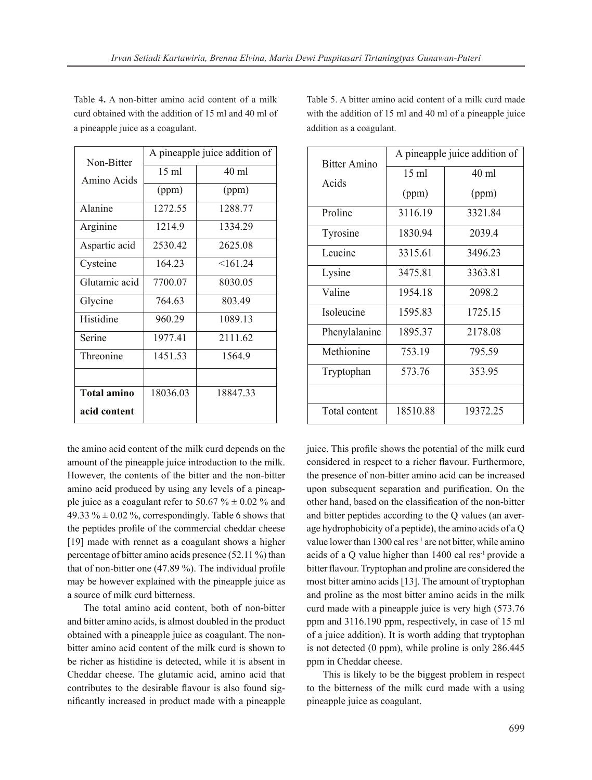| Non-Bitter         | A pineapple juice addition of |          |  |
|--------------------|-------------------------------|----------|--|
| Amino Acids        | 15 ml                         | $40$ ml  |  |
|                    | (ppm)                         | (ppm)    |  |
| Alanine            | 1272.55                       | 1288.77  |  |
| Arginine           | 1214.9                        | 1334.29  |  |
| Aspartic acid      | 2530.42                       | 2625.08  |  |
| Cysteine           | 164.23                        | <161.24  |  |
| Glutamic acid      | 7700.07                       | 8030.05  |  |
| Glycine            | 764.63                        | 803.49   |  |
| Histidine          | 960.29                        | 1089.13  |  |
| Serine             | 1977.41                       | 2111.62  |  |
| Threonine          | 1451.53                       | 1564.9   |  |
|                    |                               |          |  |
| <b>Total amino</b> | 18036.03                      | 18847.33 |  |
| acid content       |                               |          |  |

Table 4**.** A non-bitter amino acid content of a milk curd obtained with the addition of 15 ml and 40 ml of a pineapple juice as a coagulant.

the amino acid content of the milk curd depends on the amount of the pineapple juice introduction to the milk. However, the contents of the bitter and the non-bitter amino acid produced by using any levels of a pineapple juice as a coagulant refer to 50.67  $\% \pm 0.02$  % and 49.33 %  $\pm$  0.02 %, correspondingly. Table 6 shows that the peptides profile of the commercial cheddar cheese [19] made with rennet as a coagulant shows a higher percentage of bitter amino acids presence (52.11 %) than that of non-bitter one (47.89 %). The individual profile may be however explained with the pineapple juice as a source of milk curd bitterness.

The total amino acid content, both of non-bitter and bitter amino acids, is almost doubled in the product obtained with a pineapple juice as coagulant. The nonbitter amino acid content of the milk curd is shown to be richer as histidine is detected, while it is absent in Cheddar cheese. The glutamic acid, amino acid that contributes to the desirable flavour is also found significantly increased in product made with a pineapple Table 5. A bitter amino acid content of a milk curd made with the addition of 15 ml and 40 ml of a pineapple juice addition as a coagulant.

| <b>Bitter Amino</b> | A pineapple juice addition of |          |  |
|---------------------|-------------------------------|----------|--|
| Acids               | 15 ml                         | $40$ ml  |  |
|                     | (ppm)                         | (ppm)    |  |
| Proline             | 3116.19                       | 3321.84  |  |
| Tyrosine            | 1830.94                       | 2039.4   |  |
| Leucine             | 3315.61                       | 3496.23  |  |
| Lysine              | 3475.81                       | 3363.81  |  |
| Valine              | 1954.18                       | 2098.2   |  |
| Isoleucine          | 1595.83                       | 1725.15  |  |
| Phenylalanine       | 1895.37                       | 2178.08  |  |
| Methionine          | 753.19                        | 795.59   |  |
| Tryptophan          | 573.76                        | 353.95   |  |
|                     |                               |          |  |
| Total content       | 18510.88                      | 19372.25 |  |

juice. This profile shows the potential of the milk curd considered in respect to a richer flavour. Furthermore, the presence of non-bitter amino acid can be increased upon subsequent separation and purification. On the other hand, based on the classification of the non-bitter and bitter peptides according to the Q values (an average hydrophobicity of a peptide), the amino acids of a Q value lower than 1300 cal res<sup>-1</sup> are not bitter, while amino acids of a Q value higher than 1400 cal res-1 provide a bitter flavour. Tryptophan and proline are considered the most bitter amino acids [13]. The amount of tryptophan and proline as the most bitter amino acids in the milk curd made with a pineapple juice is very high (573.76 ppm and 3116.190 ppm, respectively, in case of 15 ml of a juice addition). It is worth adding that tryptophan is not detected (0 ppm), while proline is only 286.445 ppm in Cheddar cheese.

This is likely to be the biggest problem in respect to the bitterness of the milk curd made with a using pineapple juice as coagulant.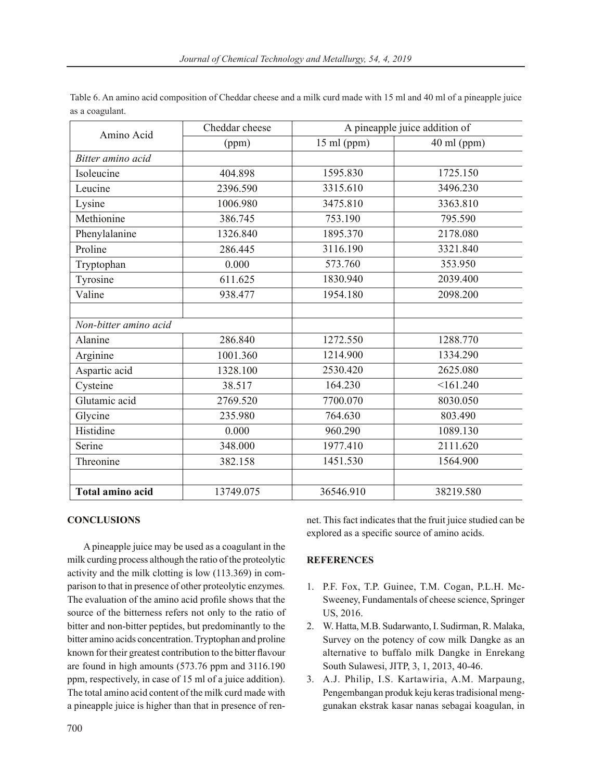| Table 6. An amino acid composition of Cheddar cheese and a milk curd made with 15 ml and 40 ml of a pineapple juice |  |
|---------------------------------------------------------------------------------------------------------------------|--|
| as a coagulant.                                                                                                     |  |

| Amino Acid              | Cheddar cheese | A pineapple juice addition of |               |
|-------------------------|----------------|-------------------------------|---------------|
|                         | (ppm)          | $15$ ml (ppm)                 | $40$ ml (ppm) |
| Bitter amino acid       |                |                               |               |
| Isoleucine              | 404.898        | 1595.830                      | 1725.150      |
| Leucine                 | 2396.590       | 3315.610                      | 3496.230      |
| Lysine                  | 1006.980       | 3475.810                      | 3363.810      |
| Methionine              | 386.745        | 753.190                       | 795.590       |
| Phenylalanine           | 1326.840       | 1895.370                      | 2178.080      |
| Proline                 | 286.445        | 3116.190                      | 3321.840      |
| Tryptophan              | 0.000          | 573.760                       | 353.950       |
| Tyrosine                | 611.625        | 1830.940                      | 2039.400      |
| Valine                  | 938.477        | 1954.180                      | 2098.200      |
|                         |                |                               |               |
| Non-bitter amino acid   |                |                               |               |
| Alanine                 | 286.840        | 1272.550                      | 1288.770      |
| Arginine                | 1001.360       | 1214.900                      | 1334.290      |
| Aspartic acid           | 1328.100       | 2530.420                      | 2625.080      |
| Cysteine                | 38.517         | 164.230                       | <161.240      |
| Glutamic acid           | 2769.520       | 7700.070                      | 8030.050      |
| Glycine                 | 235.980        | 764.630                       | 803.490       |
| Histidine               | 0.000          | 960.290                       | 1089.130      |
| Serine                  | 348.000        | 1977.410                      | 2111.620      |
| Threonine               | 382.158        | 1451.530                      | 1564.900      |
|                         |                |                               |               |
| <b>Total amino acid</b> | 13749.075      | 36546.910                     | 38219.580     |

# **CONCLUSIONS**

A pineapple juice may be used as a coagulant in the milk curding process although the ratio of the proteolytic activity and the milk clotting is low (113.369) in comparison to that in presence of other proteolytic enzymes*.*  The evaluation of the amino acid profile shows that the source of the bitterness refers not only to the ratio of bitter and non-bitter peptides, but predominantly to the bitter amino acids concentration. Tryptophan and proline known for their greatest contribution to the bitter flavour are found in high amounts (573.76 ppm and 3116.190 ppm, respectively, in case of 15 ml of a juice addition). The total amino acid content of the milk curd made with a pineapple juice is higher than that in presence of rennet. This fact indicates that the fruit juice studied can be explored as a specific source of amino acids.

## **REFERENCES**

- 1. P.F. Fox, T.P. Guinee, T.M. Cogan, P.L.H. Mc-Sweeney, Fundamentals of cheese science, Springer US, 2016.
- 2. W. Hatta, M.B. Sudarwanto, I. Sudirman, R. Malaka, Survey on the potency of cow milk Dangke as an alternative to buffalo milk Dangke in Enrekang South Sulawesi, JITP, 3, 1, 2013, 40-46.
- 3. A.J. Philip, I.S. Kartawiria, A.M. Marpaung, Pengembangan produk keju keras tradisional menggunakan ekstrak kasar nanas sebagai koagulan, in